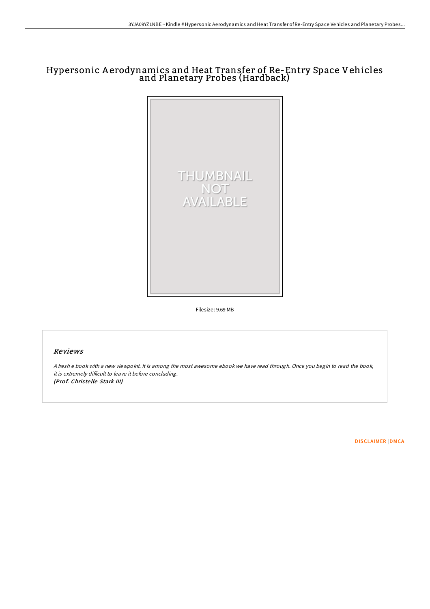# Hypersonic A erodynamics and Heat Transfer of Re-Entry Space Vehicles and Planetary Probes (Hardback)



Filesize: 9.69 MB

## Reviews

<sup>A</sup> fresh <sup>e</sup> book with <sup>a</sup> new viewpoint. It is among the most awesome ebook we have read through. Once you begin to read the book, it is extremely difficult to leave it before concluding. (Prof. Christelle Stark III)

[DISCLAIMER](http://almighty24.tech/disclaimer.html) | [DMCA](http://almighty24.tech/dmca.html)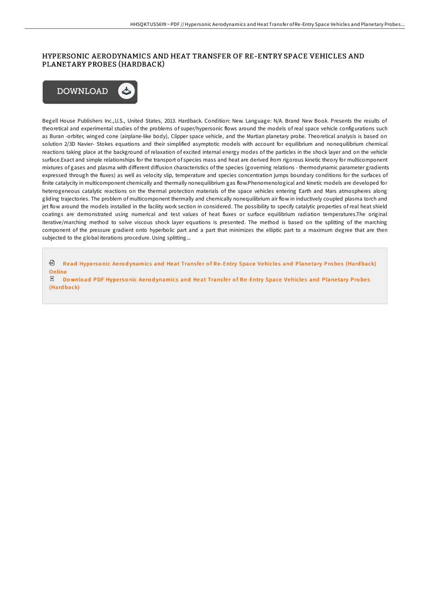### HYPERSONIC AERODYNAMICS AND HEAT TRANSFER OF RE-ENTRY SPACE VEHICLES AND PLANETARY PROBES (HARDBACK)



Begell House Publishers Inc.,U.S., United States, 2013. Hardback. Condition: New. Language: N/A. Brand New Book. Presents the results of theoretical and experimental studies of the problems of super/hypersonic flows around the models of real space vehicle configurations such as Buran -orbiter, winged cone (airplane-like body), Clipper space vehicle, and the Martian planetary probe. Theoretical analysis is based on solution 2/3D Navier- Stokes equations and their simplified asymptotic models with account for equilibrium and nonequilibrium chemical reactions taking place at the background of relaxation of excited internal energy modes of the particles in the shock layer and on the vehicle surface.Exact and simple relationships for the transport of species mass and heat are derived from rigorous kinetic theory for multicomponent mixtures of gases and plasma with different diffusion characteristics of the species (governing relations - thermodynamic parameter gradients expressed through the fluxes) as well as velocity slip, temperature and species concentration jumps boundary conditions for the surfaces of finite catalycity in multicomponent chemically and thermally nonequilibrium gas flow.Phenomenological and kinetic models are developed for heterogeneous catalytic reactions on the thermal protection materials of the space vehicles entering Earth and Mars atmospheres along gliding trajectories. The problem of multicomponent thermally and chemically nonequilibrium air flow in inductively coupled plasma torch and jet flow around the models installed in the facility work section in considered. The possibility to specify catalytic properties of real heat shield coatings are demonstrated using numerical and test values of heat fluxes or surface equilibrium radiation temperatures.The original iterative/marching method to solve viscous shock layer equations is presented. The method is based on the splitting of the marching component of the pressure gradient onto hyperbolic part and a part that minimizes the elliptic part to a maximum degree that are then subjected to the global iterations procedure. Using splitting...

<sup>回</sup> Read Hypersonic Aerod[ynamics](http://almighty24.tech/hypersonic-aerodynamics-and-heat-transfer-of-re-.html) and Heat Transfer of Re-Entry Space Vehicles and Planetary Probes (Hardback) **Online** 

 $\mathbb E$  Download PDF Hypersonic Aerod[ynamics](http://almighty24.tech/hypersonic-aerodynamics-and-heat-transfer-of-re-.html) and Heat Transfer of Re-Entry Space Vehicles and Planetary Probes (Hard back)